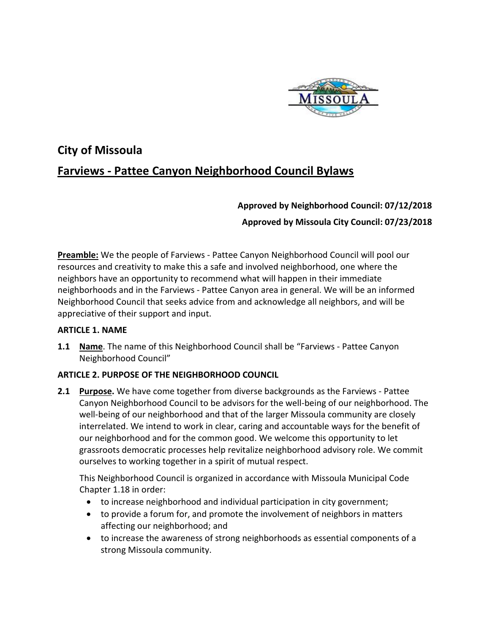

# **City of Missoula Farviews - Pattee Canyon Neighborhood Council Bylaws**

# **Approved by Neighborhood Council: 07/12/2018 Approved by Missoula City Council: 07/23/2018**

**Preamble:** We the people of Farviews - Pattee Canyon Neighborhood Council will pool our resources and creativity to make this a safe and involved neighborhood, one where the neighbors have an opportunity to recommend what will happen in their immediate neighborhoods and in the Farviews - Pattee Canyon area in general. We will be an informed Neighborhood Council that seeks advice from and acknowledge all neighbors, and will be appreciative of their support and input.

## **ARTICLE 1. NAME**

**1.1 Name**. The name of this Neighborhood Council shall be "Farviews - Pattee Canyon Neighborhood Council"

# **ARTICLE 2. PURPOSE OF THE NEIGHBORHOOD COUNCIL**

**2.1 Purpose.** We have come together from diverse backgrounds as the Farviews - Pattee Canyon Neighborhood Council to be advisors for the well-being of our neighborhood. The well-being of our neighborhood and that of the larger Missoula community are closely interrelated. We intend to work in clear, caring and accountable ways for the benefit of our neighborhood and for the common good. We welcome this opportunity to let grassroots democratic processes help revitalize neighborhood advisory role. We commit ourselves to working together in a spirit of mutual respect.

This Neighborhood Council is organized in accordance with Missoula Municipal Code Chapter 1.18 in order:

- to increase neighborhood and individual participation in city government;
- to provide a forum for, and promote the involvement of neighbors in matters affecting our neighborhood; and
- to increase the awareness of strong neighborhoods as essential components of a strong Missoula community.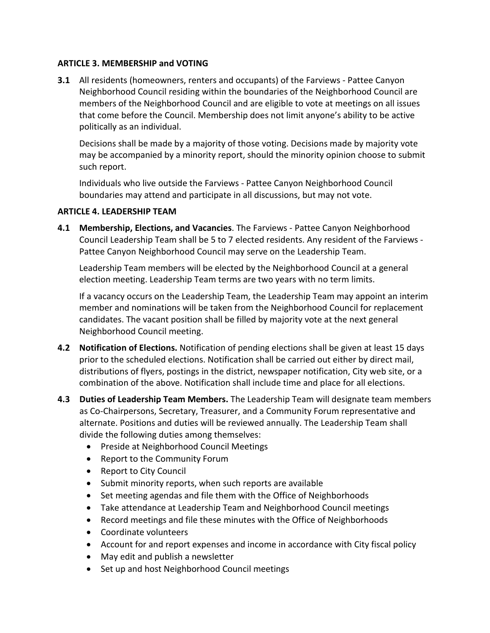#### **ARTICLE 3. MEMBERSHIP and VOTING**

**3.1** All residents (homeowners, renters and occupants) of the Farviews - Pattee Canyon Neighborhood Council residing within the boundaries of the Neighborhood Council are members of the Neighborhood Council and are eligible to vote at meetings on all issues that come before the Council. Membership does not limit anyone's ability to be active politically as an individual.

Decisions shall be made by a majority of those voting. Decisions made by majority vote may be accompanied by a minority report, should the minority opinion choose to submit such report.

Individuals who live outside the Farviews - Pattee Canyon Neighborhood Council boundaries may attend and participate in all discussions, but may not vote.

#### **ARTICLE 4. LEADERSHIP TEAM**

**4.1 Membership, Elections, and Vacancies**. The Farviews - Pattee Canyon Neighborhood Council Leadership Team shall be 5 to 7 elected residents. Any resident of the Farviews - Pattee Canyon Neighborhood Council may serve on the Leadership Team.

Leadership Team members will be elected by the Neighborhood Council at a general election meeting. Leadership Team terms are two years with no term limits.

If a vacancy occurs on the Leadership Team, the Leadership Team may appoint an interim member and nominations will be taken from the Neighborhood Council for replacement candidates. The vacant position shall be filled by majority vote at the next general Neighborhood Council meeting.

- **4.2 Notification of Elections.** Notification of pending elections shall be given at least 15 days prior to the scheduled elections. Notification shall be carried out either by direct mail, distributions of flyers, postings in the district, newspaper notification, City web site, or a combination of the above. Notification shall include time and place for all elections.
- **4.3 Duties of Leadership Team Members.** The Leadership Team will designate team members as Co-Chairpersons, Secretary, Treasurer, and a Community Forum representative and alternate. Positions and duties will be reviewed annually. The Leadership Team shall divide the following duties among themselves:
	- Preside at Neighborhood Council Meetings
	- Report to the Community Forum
	- Report to City Council
	- Submit minority reports, when such reports are available
	- Set meeting agendas and file them with the Office of Neighborhoods
	- Take attendance at Leadership Team and Neighborhood Council meetings
	- Record meetings and file these minutes with the Office of Neighborhoods
	- Coordinate volunteers
	- Account for and report expenses and income in accordance with City fiscal policy
	- May edit and publish a newsletter
	- Set up and host Neighborhood Council meetings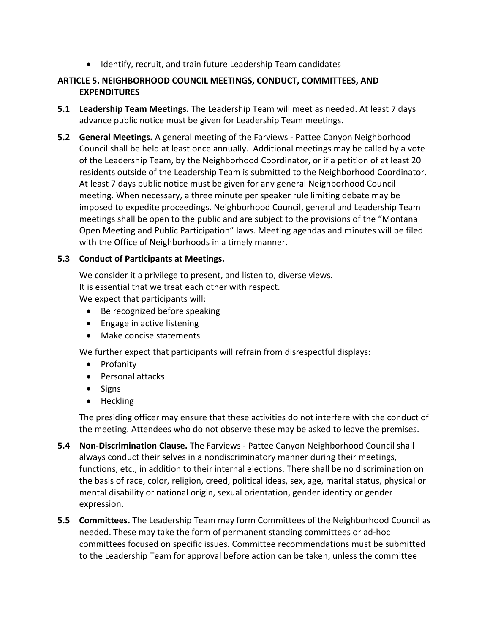• Identify, recruit, and train future Leadership Team candidates

# **ARTICLE 5. NEIGHBORHOOD COUNCIL MEETINGS, CONDUCT, COMMITTEES, AND EXPENDITURES**

- **5.1 Leadership Team Meetings.** The Leadership Team will meet as needed. At least 7 days advance public notice must be given for Leadership Team meetings.
- **5.2 General Meetings.** A general meeting of the Farviews Pattee Canyon Neighborhood Council shall be held at least once annually. Additional meetings may be called by a vote of the Leadership Team, by the Neighborhood Coordinator, or if a petition of at least 20 residents outside of the Leadership Team is submitted to the Neighborhood Coordinator. At least 7 days public notice must be given for any general Neighborhood Council meeting. When necessary, a three minute per speaker rule limiting debate may be imposed to expedite proceedings. Neighborhood Council, general and Leadership Team meetings shall be open to the public and are subject to the provisions of the "Montana Open Meeting and Public Participation" laws. Meeting agendas and minutes will be filed with the Office of Neighborhoods in a timely manner.

## **5.3 Conduct of Participants at Meetings.**

We consider it a privilege to present, and listen to, diverse views. It is essential that we treat each other with respect.

We expect that participants will:

- Be recognized before speaking
- Engage in active listening
- Make concise statements

We further expect that participants will refrain from disrespectful displays:

- Profanity
- Personal attacks
- Signs
- Heckling

The presiding officer may ensure that these activities do not interfere with the conduct of the meeting. Attendees who do not observe these may be asked to leave the premises.

- **5.4 Non-Discrimination Clause.** The Farviews Pattee Canyon Neighborhood Council shall always conduct their selves in a nondiscriminatory manner during their meetings, functions, etc., in addition to their internal elections. There shall be no discrimination on the basis of race, color, religion, creed, political ideas, sex, age, marital status, physical or mental disability or national origin, sexual orientation, gender identity or gender expression.
- **5.5 Committees.** The Leadership Team may form Committees of the Neighborhood Council as needed. These may take the form of permanent standing committees or ad-hoc committees focused on specific issues. Committee recommendations must be submitted to the Leadership Team for approval before action can be taken, unless the committee